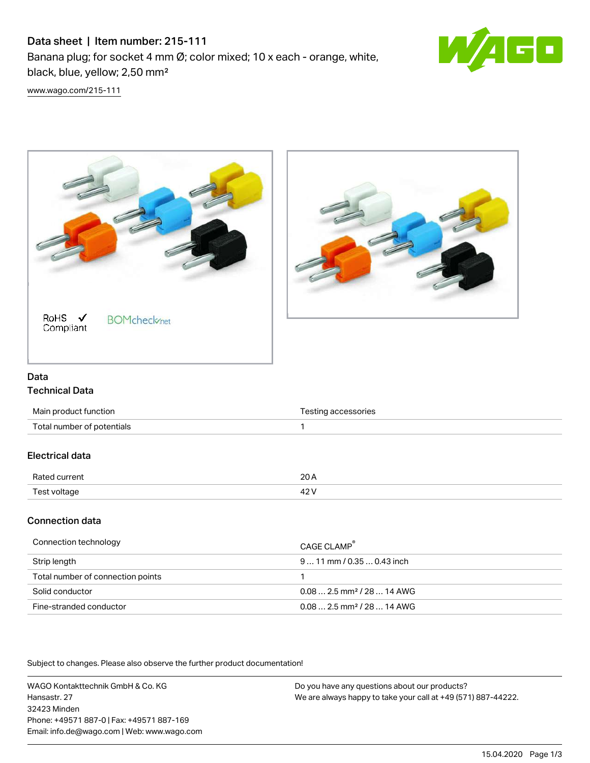# Data sheet | Item number: 215-111

Banana plug; for socket 4 mm Ø; color mixed; 10 x each - orange, white, black, blue, yellow; 2,50 mm²



[www.wago.com/215-111](http://www.wago.com/215-111)





### Data Technical Data

| Main product function      | Testing accessories |
|----------------------------|---------------------|
| Total number of potentials |                     |
| Electrical data            |                     |
| Rated current              | 20 A                |
| Test voltage               | 42 V                |

### Connection data

| Connection technology             | CAGE CLAMP                              |
|-----------------------------------|-----------------------------------------|
| Strip length                      | $911$ mm / 0.35  0.43 inch              |
| Total number of connection points |                                         |
| Solid conductor                   | $0.08$ 2.5 mm <sup>2</sup> / 28  14 AWG |
| Fine-stranded conductor           | $0.082.5$ mm <sup>2</sup> / 28  14 AWG  |

Subject to changes. Please also observe the further product documentation!

WAGO Kontakttechnik GmbH & Co. KG Hansastr. 27 32423 Minden Phone: +49571 887-0 | Fax: +49571 887-169 Email: info.de@wago.com | Web: www.wago.com

Do you have any questions about our products? We are always happy to take your call at +49 (571) 887-44222.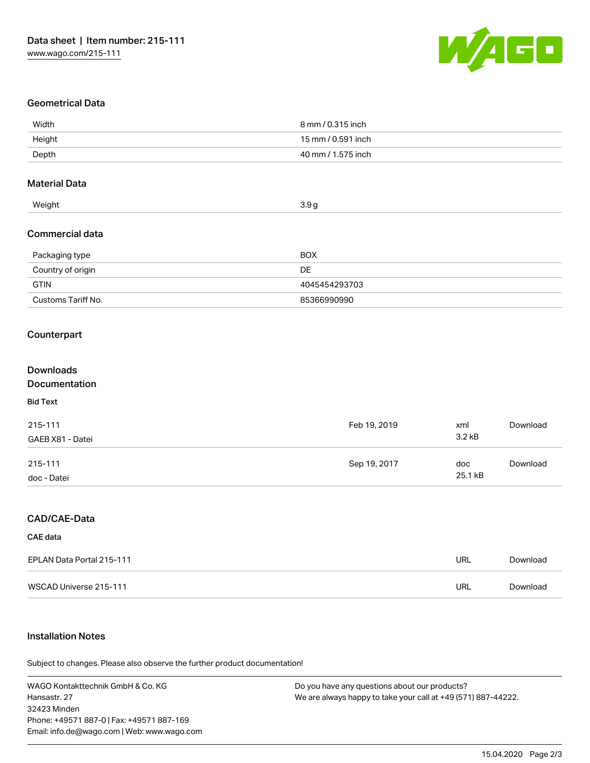

#### Geometrical Data

| Width                     | 8 mm / 0.315 inch  |            |          |  |  |
|---------------------------|--------------------|------------|----------|--|--|
| Height                    | 15 mm / 0.591 inch |            |          |  |  |
| Depth                     | 40 mm / 1.575 inch |            |          |  |  |
| <b>Material Data</b>      |                    |            |          |  |  |
| Weight                    | 3.9g               |            |          |  |  |
| <b>Commercial data</b>    |                    |            |          |  |  |
| Packaging type            | <b>BOX</b>         |            |          |  |  |
| Country of origin         | DE                 |            |          |  |  |
| <b>GTIN</b>               | 4045454293703      |            |          |  |  |
| Customs Tariff No.        | 85366990990        |            |          |  |  |
| Counterpart               |                    |            |          |  |  |
| <b>Downloads</b>          |                    |            |          |  |  |
| Documentation             |                    |            |          |  |  |
| <b>Bid Text</b>           |                    |            |          |  |  |
| 215-111                   | Feb 19, 2019       | xml        | Download |  |  |
| GAEB X81 - Datei          |                    | 3.2 kB     |          |  |  |
| 215-111                   | Sep 19, 2017       | doc        | Download |  |  |
| doc - Datei               |                    | 25.1 kB    |          |  |  |
| CAD/CAE-Data              |                    |            |          |  |  |
| <b>CAE</b> data           |                    |            |          |  |  |
| EPLAN Data Portal 215-111 |                    | URL        | Download |  |  |
| WSCAD Universe 215-111    |                    | <b>URL</b> | Download |  |  |

### Installation Notes

.<br>Subject to changes. Please also observe the further product documentation!

WAGO Kontakttechnik GmbH & Co. KG Hansastr. 27 32423 Minden Phone: +49571 887-0 | Fax: +49571 887-169 Email: info.de@wago.com | Web: www.wago.com

Do you have any questions about our products? We are always happy to take your call at +49 (571) 887-44222.